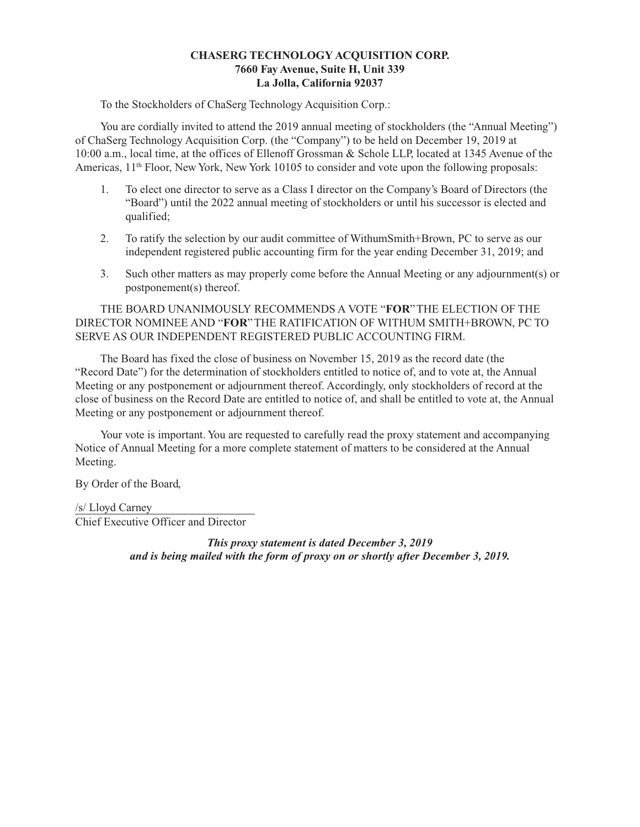# **CHASERG TECHNOLOGY ACQUISITION CORP. 7660 Fay Avenue, Suite H, Unit 339 La Jolla, California 92037**

To the Stockholders of ChaSerg Technology Acquisition Corp.:

You are cordially invited to attend the 2019 annual meeting of stockholders (the "Annual Meeting") of ChaSerg Technology Acquisition Corp. (the "Company") to be held on December 19, 2019 at 10:00 a.m., local time, at the offices of Ellenoff Grossman & Schole LLP, located at 1345 Avenue of the Americas, 11<sup>th</sup> Floor, New York, New York 10105 to consider and vote upon the following proposals:

- 1. To elect one director to serve as a Class I director on the Company's Board of Directors (the "Board") until the 2022 annual meeting of stockholders or until his successor is elected and qualified;
- 2. To ratify the selection by our audit committee of WithumSmith+Brown, PC to serve as our independent registered public accounting firm for the year ending December 31, 2019; and
- 3. Such other matters as may properly come before the Annual Meeting or any adjournment(s) or postponement(s) thereof.

THE BOARD UNANIMOUSLY RECOMMENDS A VOTE "**FOR**" THE ELECTION OF THE DIRECTOR NOMINEE AND "**FOR**" THE RATIFICATION OF WITHUM SMITH+BROWN, PC TO SERVE AS OUR INDEPENDENT REGISTERED PUBLIC ACCOUNTING FIRM.

The Board has fixed the close of business on November 15, 2019 as the record date (the "Record Date") for the determination of stockholders entitled to notice of, and to vote at, the Annual Meeting or any postponement or adjournment thereof. Accordingly, only stockholders of record at the close of business on the Record Date are entitled to notice of, and shall be entitled to vote at, the Annual Meeting or any postponement or adjournment thereof.

Your vote is important. You are requested to carefully read the proxy statement and accompanying Notice of Annual Meeting for a more complete statement of matters to be considered at the Annual Meeting.

By Order of the Board,

/s/ Lloyd Carney Chief Executive Officer and Director

> *This proxy statement is dated December 3, 2019 and is being mailed with the form of proxy on or shortly after December 3, 2019.*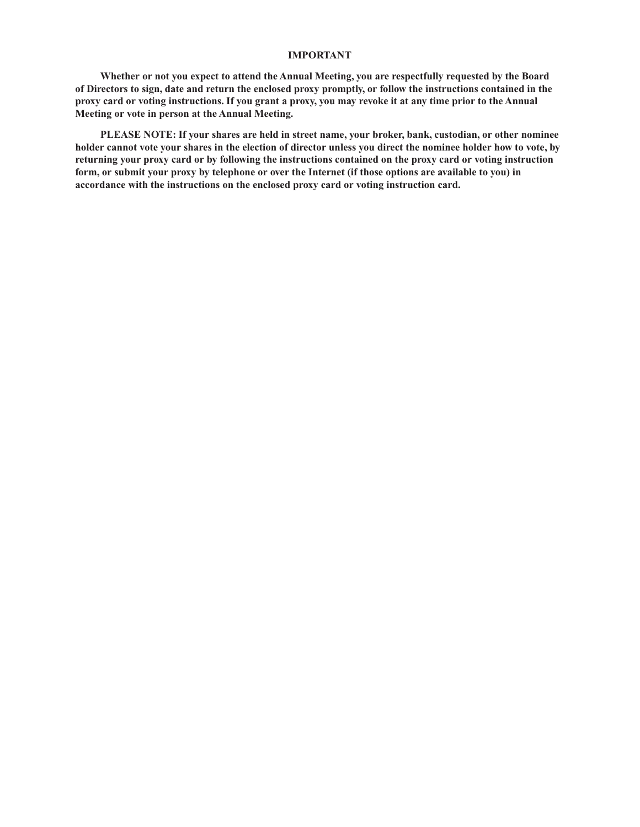## **IMPORTANT**

**Whether or not you expect to attend the Annual Meeting, you are respectfully requested by the Board of Directors to sign, date and return the enclosed proxy promptly, or follow the instructions contained in the proxy card or voting instructions. If you grant a proxy, you may revoke it at any time prior to the Annual Meeting or vote in person at the Annual Meeting.**

**PLEASE NOTE: If your shares are held in street name, your broker, bank, custodian, or other nominee holder cannot vote your shares in the election of director unless you direct the nominee holder how to vote, by returning your proxy card or by following the instructions contained on the proxy card or voting instruction form, or submit your proxy by telephone or over the Internet (if those options are available to you) in accordance with the instructions on the enclosed proxy card or voting instruction card.**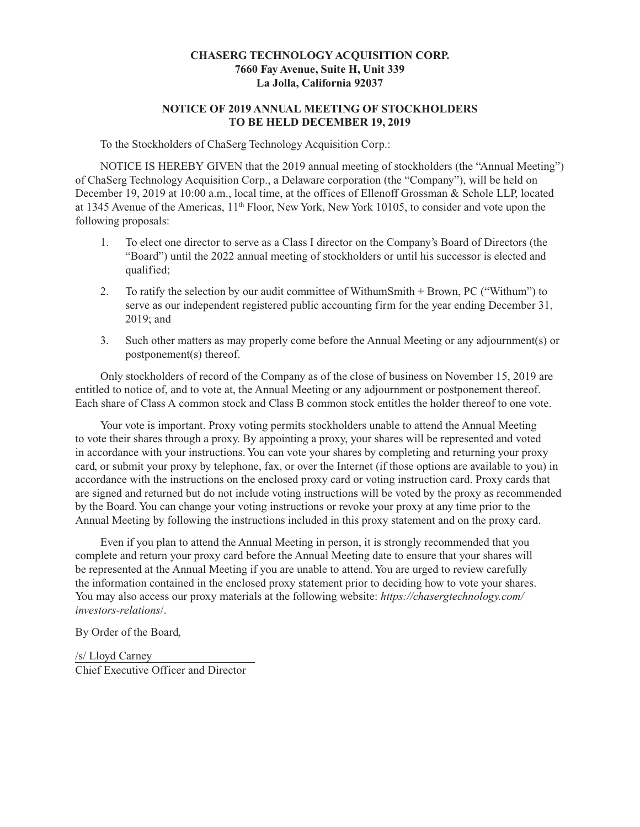# **CHASERG TECHNOLOGY ACQUISITION CORP. 7660 Fay Avenue, Suite H, Unit 339 La Jolla, California 92037**

# **NOTICE OF 2019 ANNUAL MEETING OF STOCKHOLDERS TO BE HELD DECEMBER 19, 2019**

To the Stockholders of ChaSerg Technology Acquisition Corp.:

NOTICE IS HEREBY GIVEN that the 2019 annual meeting of stockholders (the "Annual Meeting") of ChaSerg Technology Acquisition Corp., a Delaware corporation (the "Company"), will be held on December 19, 2019 at 10:00 a.m., local time, at the offices of Ellenoff Grossman & Schole LLP, located at 1345 Avenue of the Americas, 11<sup>th</sup> Floor, New York, New York 10105, to consider and vote upon the following proposals:

- 1. To elect one director to serve as a Class I director on the Company's Board of Directors (the "Board") until the 2022 annual meeting of stockholders or until his successor is elected and qualified;
- 2. To ratify the selection by our audit committee of WithumSmith + Brown, PC ("Withum") to serve as our independent registered public accounting firm for the year ending December 31, 2019; and
- 3. Such other matters as may properly come before the Annual Meeting or any adjournment(s) or postponement(s) thereof.

Only stockholders of record of the Company as of the close of business on November 15, 2019 are entitled to notice of, and to vote at, the Annual Meeting or any adjournment or postponement thereof. Each share of Class A common stock and Class B common stock entitles the holder thereof to one vote.

Your vote is important. Proxy voting permits stockholders unable to attend the Annual Meeting to vote their shares through a proxy. By appointing a proxy, your shares will be represented and voted in accordance with your instructions. You can vote your shares by completing and returning your proxy card, or submit your proxy by telephone, fax, or over the Internet (if those options are available to you) in accordance with the instructions on the enclosed proxy card or voting instruction card. Proxy cards that are signed and returned but do not include voting instructions will be voted by the proxy as recommended by the Board. You can change your voting instructions or revoke your proxy at any time prior to the Annual Meeting by following the instructions included in this proxy statement and on the proxy card.

Even if you plan to attend the Annual Meeting in person, it is strongly recommended that you complete and return your proxy card before the Annual Meeting date to ensure that your shares will be represented at the Annual Meeting if you are unable to attend. You are urged to review carefully the information contained in the enclosed proxy statement prior to deciding how to vote your shares. You may also access our proxy materials at the following website: *https://chasergtechnology.com/ investors-relations*/.

By Order of the Board,

/s/ Lloyd Carney Chief Executive Officer and Director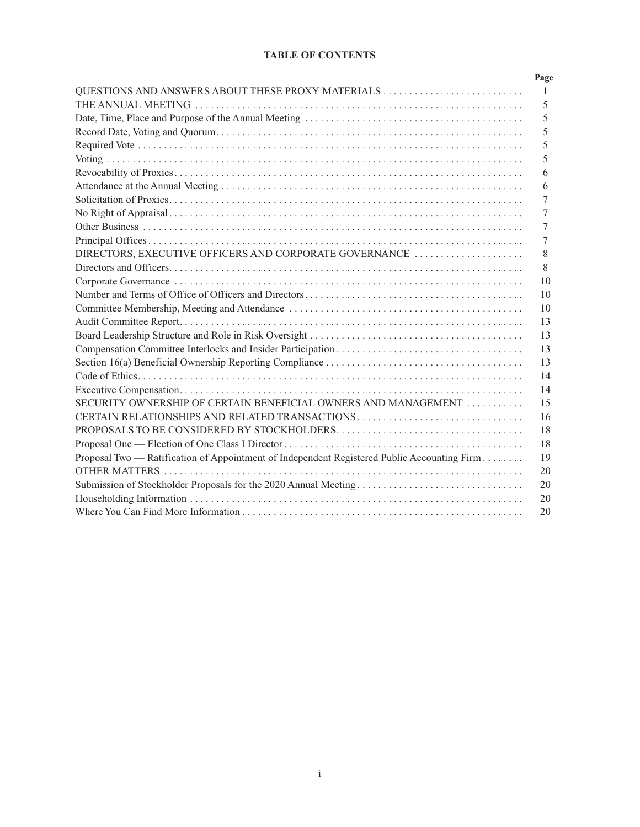# **TABLE OF CONTENTS**

| $\mathbf{1}$<br>5<br>5<br>5<br>5<br>5<br>6<br>6<br>7<br>7<br>7<br>7<br>DIRECTORS, EXECUTIVE OFFICERS AND CORPORATE GOVERNANCE<br>8<br>8<br>10<br>10<br>10<br>13<br>13<br>13 |
|-----------------------------------------------------------------------------------------------------------------------------------------------------------------------------|
|                                                                                                                                                                             |
|                                                                                                                                                                             |
|                                                                                                                                                                             |
|                                                                                                                                                                             |
|                                                                                                                                                                             |
|                                                                                                                                                                             |
|                                                                                                                                                                             |
|                                                                                                                                                                             |
|                                                                                                                                                                             |
|                                                                                                                                                                             |
|                                                                                                                                                                             |
|                                                                                                                                                                             |
|                                                                                                                                                                             |
|                                                                                                                                                                             |
|                                                                                                                                                                             |
|                                                                                                                                                                             |
|                                                                                                                                                                             |
|                                                                                                                                                                             |
|                                                                                                                                                                             |
|                                                                                                                                                                             |
| 13                                                                                                                                                                          |
| 14                                                                                                                                                                          |
| 14                                                                                                                                                                          |
| SECURITY OWNERSHIP OF CERTAIN BENEFICIAL OWNERS AND MANAGEMENT<br>15                                                                                                        |
| CERTAIN RELATIONSHIPS AND RELATED TRANSACTIONS<br>16                                                                                                                        |
| 18                                                                                                                                                                          |
| 18                                                                                                                                                                          |
| Proposal Two — Ratification of Appointment of Independent Registered Public Accounting Firm<br>19                                                                           |
| 20                                                                                                                                                                          |
| 20                                                                                                                                                                          |
| 20                                                                                                                                                                          |
| 20                                                                                                                                                                          |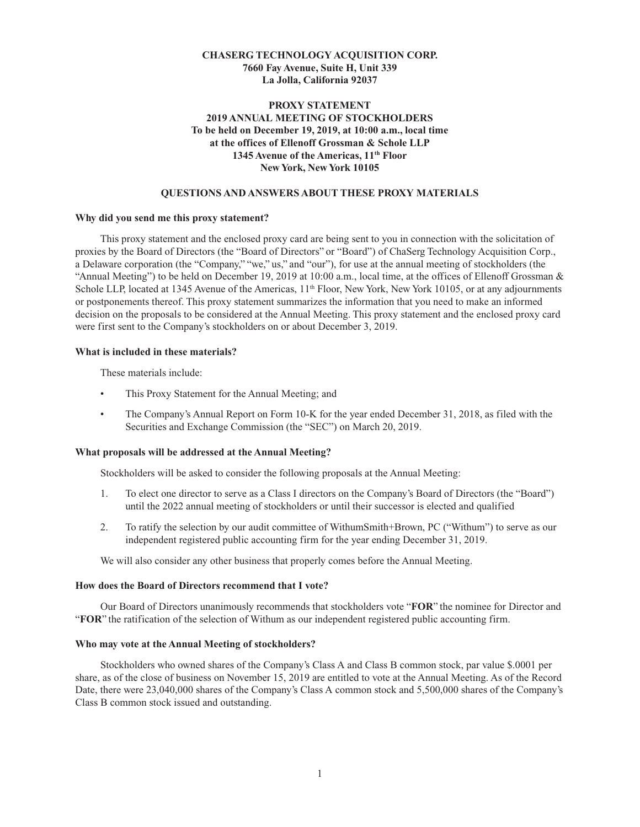# **CHASERG TECHNOLOGY ACQUISITION CORP. 7660 Fay Avenue, Suite H, Unit 339 La Jolla, California 92037**

# **PROXY STATEMENT 2019 ANNUAL MEETING OF STOCKHOLDERS To be held on December 19, 2019, at 10:00 a.m., local time at the offices of Ellenoff Grossman & Schole LLP 1345 Avenue of the Americas, 11th Floor New York, New York 10105**

## **QUESTIONS AND ANSWERS ABOUT THESE PROXY MATERIALS**

#### **Why did you send me this proxy statement?**

This proxy statement and the enclosed proxy card are being sent to you in connection with the solicitation of proxies by the Board of Directors (the "Board of Directors" or "Board") of ChaSerg Technology Acquisition Corp., a Delaware corporation (the "Company," "we," us," and "our"), for use at the annual meeting of stockholders (the "Annual Meeting") to be held on December 19, 2019 at 10:00 a.m., local time, at the offices of Ellenoff Grossman & Schole LLP, located at 1345 Avenue of the Americas, 11<sup>th</sup> Floor, New York, New York 10105, or at any adjournments or postponements thereof. This proxy statement summarizes the information that you need to make an informed decision on the proposals to be considered at the Annual Meeting. This proxy statement and the enclosed proxy card were first sent to the Company's stockholders on or about December 3, 2019.

#### **What is included in these materials?**

These materials include:

- This Proxy Statement for the Annual Meeting; and
- The Company's Annual Report on Form 10-K for the year ended December 31, 2018, as filed with the Securities and Exchange Commission (the "SEC") on March 20, 2019.

#### **What proposals will be addressed at the Annual Meeting?**

Stockholders will be asked to consider the following proposals at the Annual Meeting:

- 1. To elect one director to serve as a Class I directors on the Company's Board of Directors (the "Board") until the 2022 annual meeting of stockholders or until their successor is elected and qualified
- 2. To ratify the selection by our audit committee of WithumSmith+Brown, PC ("Withum") to serve as our independent registered public accounting firm for the year ending December 31, 2019.

We will also consider any other business that properly comes before the Annual Meeting.

## **How does the Board of Directors recommend that I vote?**

Our Board of Directors unanimously recommends that stockholders vote "**FOR**" the nominee for Director and "**FOR**" the ratification of the selection of Withum as our independent registered public accounting firm.

### **Who may vote at the Annual Meeting of stockholders?**

Stockholders who owned shares of the Company's Class A and Class B common stock, par value \$.0001 per share, as of the close of business on November 15, 2019 are entitled to vote at the Annual Meeting. As of the Record Date, there were 23,040,000 shares of the Company's Class A common stock and 5,500,000 shares of the Company's Class B common stock issued and outstanding.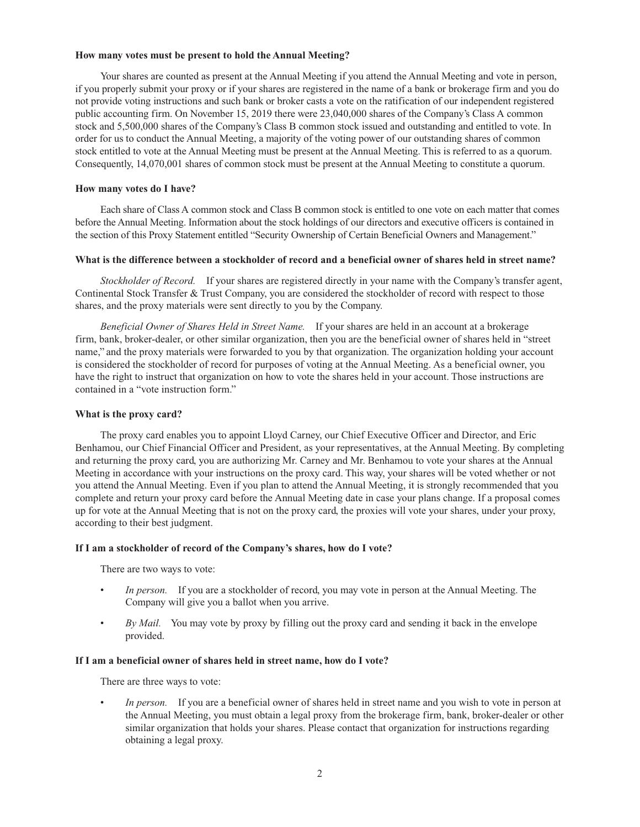## **How many votes must be present to hold the Annual Meeting?**

Your shares are counted as present at the Annual Meeting if you attend the Annual Meeting and vote in person, if you properly submit your proxy or if your shares are registered in the name of a bank or brokerage firm and you do not provide voting instructions and such bank or broker casts a vote on the ratification of our independent registered public accounting firm. On November 15, 2019 there were 23,040,000 shares of the Company's Class A common stock and 5,500,000 shares of the Company's Class B common stock issued and outstanding and entitled to vote. In order for us to conduct the Annual Meeting, a majority of the voting power of our outstanding shares of common stock entitled to vote at the Annual Meeting must be present at the Annual Meeting. This is referred to as a quorum. Consequently, 14,070,001 shares of common stock must be present at the Annual Meeting to constitute a quorum.

# **How many votes do I have?**

Each share of Class A common stock and Class B common stock is entitled to one vote on each matter that comes before the Annual Meeting. Information about the stock holdings of our directors and executive officers is contained in the section of this Proxy Statement entitled "Security Ownership of Certain Beneficial Owners and Management."

# **What is the difference between a stockholder of record and a beneficial owner of shares held in street name?**

*Stockholder of Record.* If your shares are registered directly in your name with the Company's transfer agent, Continental Stock Transfer & Trust Company, you are considered the stockholder of record with respect to those shares, and the proxy materials were sent directly to you by the Company.

*Beneficial Owner of Shares Held in Street Name.* If your shares are held in an account at a brokerage firm, bank, broker-dealer, or other similar organization, then you are the beneficial owner of shares held in "street name," and the proxy materials were forwarded to you by that organization. The organization holding your account is considered the stockholder of record for purposes of voting at the Annual Meeting. As a beneficial owner, you have the right to instruct that organization on how to vote the shares held in your account. Those instructions are contained in a "vote instruction form."

# **What is the proxy card?**

The proxy card enables you to appoint Lloyd Carney, our Chief Executive Officer and Director, and Eric Benhamou, our Chief Financial Officer and President, as your representatives, at the Annual Meeting. By completing and returning the proxy card, you are authorizing Mr. Carney and Mr. Benhamou to vote your shares at the Annual Meeting in accordance with your instructions on the proxy card. This way, your shares will be voted whether or not you attend the Annual Meeting. Even if you plan to attend the Annual Meeting, it is strongly recommended that you complete and return your proxy card before the Annual Meeting date in case your plans change. If a proposal comes up for vote at the Annual Meeting that is not on the proxy card, the proxies will vote your shares, under your proxy, according to their best judgment.

## **If I am a stockholder of record of the Company's shares, how do I vote?**

There are two ways to vote:

- In person. If you are a stockholder of record, you may vote in person at the Annual Meeting. The Company will give you a ballot when you arrive.
- *By Mail.* You may vote by proxy by filling out the proxy card and sending it back in the envelope provided.

## **If I am a beneficial owner of shares held in street name, how do I vote?**

There are three ways to vote:

In person. If you are a beneficial owner of shares held in street name and you wish to vote in person at the Annual Meeting, you must obtain a legal proxy from the brokerage firm, bank, broker-dealer or other similar organization that holds your shares. Please contact that organization for instructions regarding obtaining a legal proxy.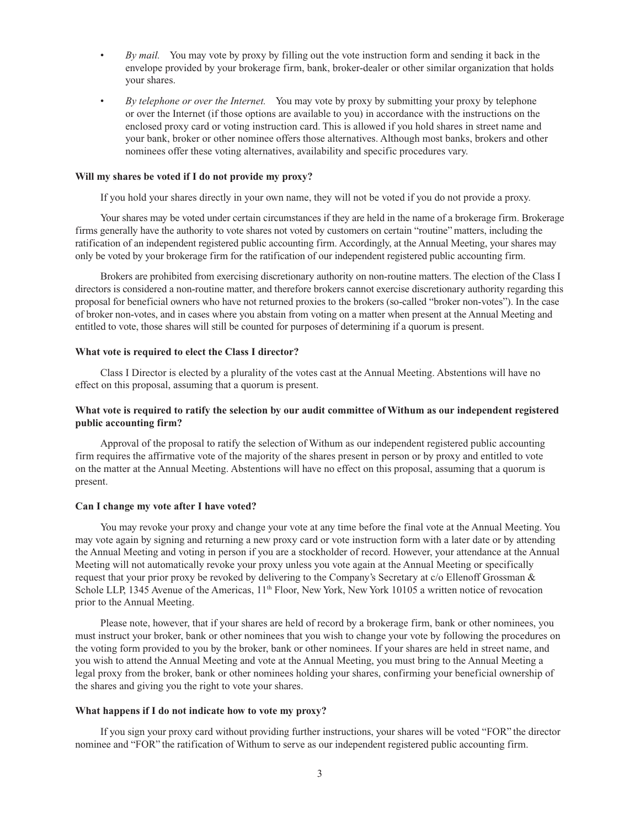- *By mail.* You may vote by proxy by filling out the vote instruction form and sending it back in the envelope provided by your brokerage firm, bank, broker-dealer or other similar organization that holds your shares.
- *By telephone or over the Internet.* You may vote by proxy by submitting your proxy by telephone or over the Internet (if those options are available to you) in accordance with the instructions on the enclosed proxy card or voting instruction card. This is allowed if you hold shares in street name and your bank, broker or other nominee offers those alternatives. Although most banks, brokers and other nominees offer these voting alternatives, availability and specific procedures vary.

## **Will my shares be voted if I do not provide my proxy?**

If you hold your shares directly in your own name, they will not be voted if you do not provide a proxy.

Your shares may be voted under certain circumstances if they are held in the name of a brokerage firm. Brokerage firms generally have the authority to vote shares not voted by customers on certain "routine" matters, including the ratification of an independent registered public accounting firm. Accordingly, at the Annual Meeting, your shares may only be voted by your brokerage firm for the ratification of our independent registered public accounting firm.

Brokers are prohibited from exercising discretionary authority on non-routine matters. The election of the Class I directors is considered a non-routine matter, and therefore brokers cannot exercise discretionary authority regarding this proposal for beneficial owners who have not returned proxies to the brokers (so-called "broker non-votes"). In the case of broker non-votes, and in cases where you abstain from voting on a matter when present at the Annual Meeting and entitled to vote, those shares will still be counted for purposes of determining if a quorum is present.

### **What vote is required to elect the Class I director?**

Class I Director is elected by a plurality of the votes cast at the Annual Meeting. Abstentions will have no effect on this proposal, assuming that a quorum is present.

# **What vote is required to ratify the selection by our audit committee of Withum as our independent registered public accounting firm?**

Approval of the proposal to ratify the selection of Withum as our independent registered public accounting firm requires the affirmative vote of the majority of the shares present in person or by proxy and entitled to vote on the matter at the Annual Meeting. Abstentions will have no effect on this proposal, assuming that a quorum is present.

#### **Can I change my vote after I have voted?**

You may revoke your proxy and change your vote at any time before the final vote at the Annual Meeting. You may vote again by signing and returning a new proxy card or vote instruction form with a later date or by attending the Annual Meeting and voting in person if you are a stockholder of record. However, your attendance at the Annual Meeting will not automatically revoke your proxy unless you vote again at the Annual Meeting or specifically request that your prior proxy be revoked by delivering to the Company's Secretary at c/o Ellenoff Grossman & Schole LLP, 1345 Avenue of the Americas, 11<sup>th</sup> Floor, New York, New York 10105 a written notice of revocation prior to the Annual Meeting.

Please note, however, that if your shares are held of record by a brokerage firm, bank or other nominees, you must instruct your broker, bank or other nominees that you wish to change your vote by following the procedures on the voting form provided to you by the broker, bank or other nominees. If your shares are held in street name, and you wish to attend the Annual Meeting and vote at the Annual Meeting, you must bring to the Annual Meeting a legal proxy from the broker, bank or other nominees holding your shares, confirming your beneficial ownership of the shares and giving you the right to vote your shares.

### **What happens if I do not indicate how to vote my proxy?**

If you sign your proxy card without providing further instructions, your shares will be voted "FOR" the director nominee and "FOR" the ratification of Withum to serve as our independent registered public accounting firm.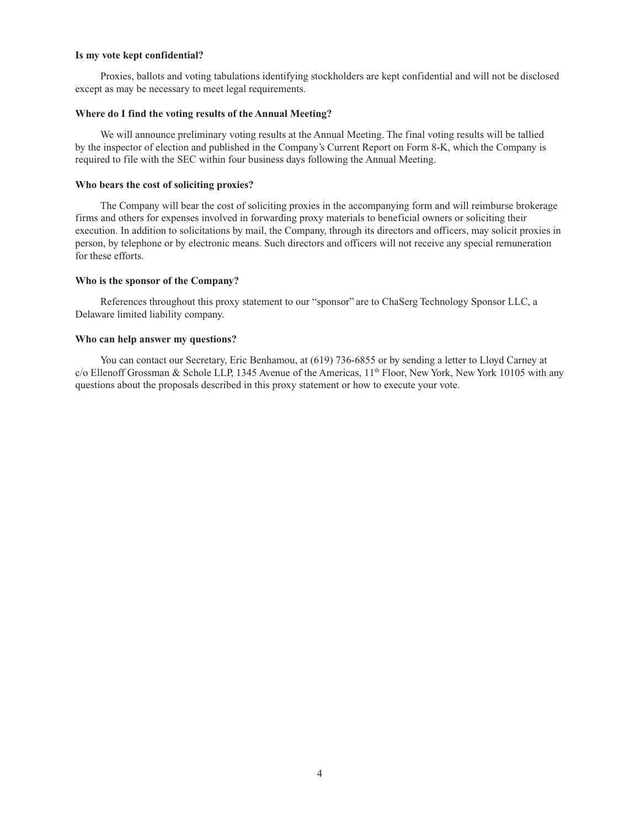## **Is my vote kept confidential?**

Proxies, ballots and voting tabulations identifying stockholders are kept confidential and will not be disclosed except as may be necessary to meet legal requirements.

## **Where do I find the voting results of the Annual Meeting?**

We will announce preliminary voting results at the Annual Meeting. The final voting results will be tallied by the inspector of election and published in the Company's Current Report on Form 8-K, which the Company is required to file with the SEC within four business days following the Annual Meeting.

## **Who bears the cost of soliciting proxies?**

The Company will bear the cost of soliciting proxies in the accompanying form and will reimburse brokerage firms and others for expenses involved in forwarding proxy materials to beneficial owners or soliciting their execution. In addition to solicitations by mail, the Company, through its directors and officers, may solicit proxies in person, by telephone or by electronic means. Such directors and officers will not receive any special remuneration for these efforts.

# **Who is the sponsor of the Company?**

References throughout this proxy statement to our "sponsor" are to ChaSerg Technology Sponsor LLC, a Delaware limited liability company.

# **Who can help answer my questions?**

You can contact our Secretary, Eric Benhamou, at (619) 736-6855 or by sending a letter to Lloyd Carney at c/o Ellenoff Grossman & Schole LLP, 1345 Avenue of the Americas,  $11<sup>th</sup>$  Floor, New York, New York 10105 with any questions about the proposals described in this proxy statement or how to execute your vote.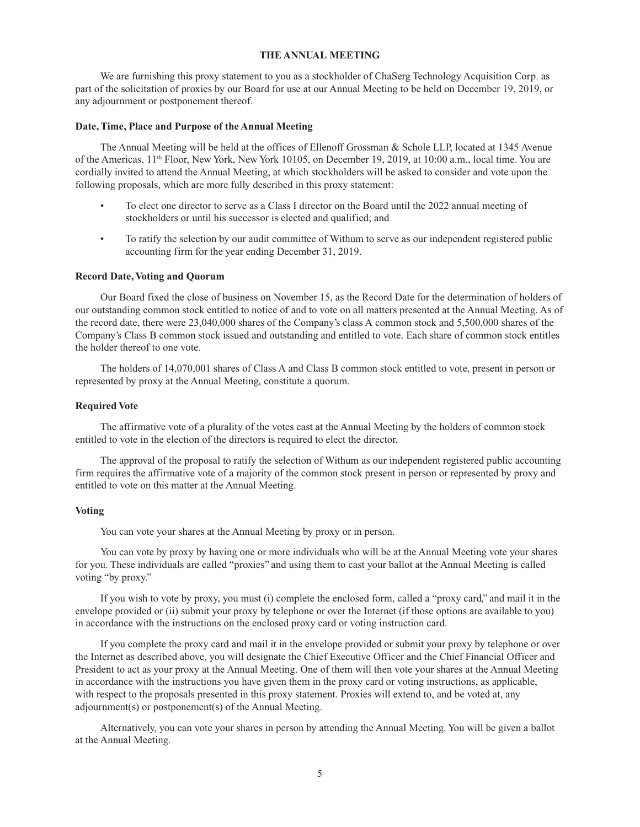## **THE ANNUAL MEETING**

We are furnishing this proxy statement to you as a stockholder of ChaSerg Technology Acquisition Corp. as part of the solicitation of proxies by our Board for use at our Annual Meeting to be held on December 19, 2019, or any adjournment or postponement thereof.

## **Date, Time, Place and Purpose of the Annual Meeting**

The Annual Meeting will be held at the offices of Ellenoff Grossman & Schole LLP, located at 1345 Avenue of the Americas, 11th Floor, New York, New York 10105, on December 19, 2019, at 10:00 a.m., local time. You are cordially invited to attend the Annual Meeting, at which stockholders will be asked to consider and vote upon the following proposals, which are more fully described in this proxy statement:

- To elect one director to serve as a Class I director on the Board until the 2022 annual meeting of stockholders or until his successor is elected and qualified; and
- To ratify the selection by our audit committee of Withum to serve as our independent registered public accounting firm for the year ending December 31, 2019.

# **Record Date, Voting and Quorum**

Our Board fixed the close of business on November 15, as the Record Date for the determination of holders of our outstanding common stock entitled to notice of and to vote on all matters presented at the Annual Meeting. As of the record date, there were 23,040,000 shares of the Company's class A common stock and 5,500,000 shares of the Company's Class B common stock issued and outstanding and entitled to vote. Each share of common stock entitles the holder thereof to one vote.

The holders of 14,070,001 shares of Class A and Class B common stock entitled to vote, present in person or represented by proxy at the Annual Meeting, constitute a quorum.

#### **Required Vote**

The affirmative vote of a plurality of the votes cast at the Annual Meeting by the holders of common stock entitled to vote in the election of the directors is required to elect the director.

The approval of the proposal to ratify the selection of Withum as our independent registered public accounting firm requires the affirmative vote of a majority of the common stock present in person or represented by proxy and entitled to vote on this matter at the Annual Meeting.

## **Voting**

You can vote your shares at the Annual Meeting by proxy or in person.

You can vote by proxy by having one or more individuals who will be at the Annual Meeting vote your shares for you. These individuals are called "proxies" and using them to cast your ballot at the Annual Meeting is called voting "by proxy."

If you wish to vote by proxy, you must (i) complete the enclosed form, called a "proxy card," and mail it in the envelope provided or (ii) submit your proxy by telephone or over the Internet (if those options are available to you) in accordance with the instructions on the enclosed proxy card or voting instruction card.

If you complete the proxy card and mail it in the envelope provided or submit your proxy by telephone or over the Internet as described above, you will designate the Chief Executive Officer and the Chief Financial Officer and President to act as your proxy at the Annual Meeting. One of them will then vote your shares at the Annual Meeting in accordance with the instructions you have given them in the proxy card or voting instructions, as applicable, with respect to the proposals presented in this proxy statement. Proxies will extend to, and be voted at, any adjournment(s) or postponement(s) of the Annual Meeting.

Alternatively, you can vote your shares in person by attending the Annual Meeting. You will be given a ballot at the Annual Meeting.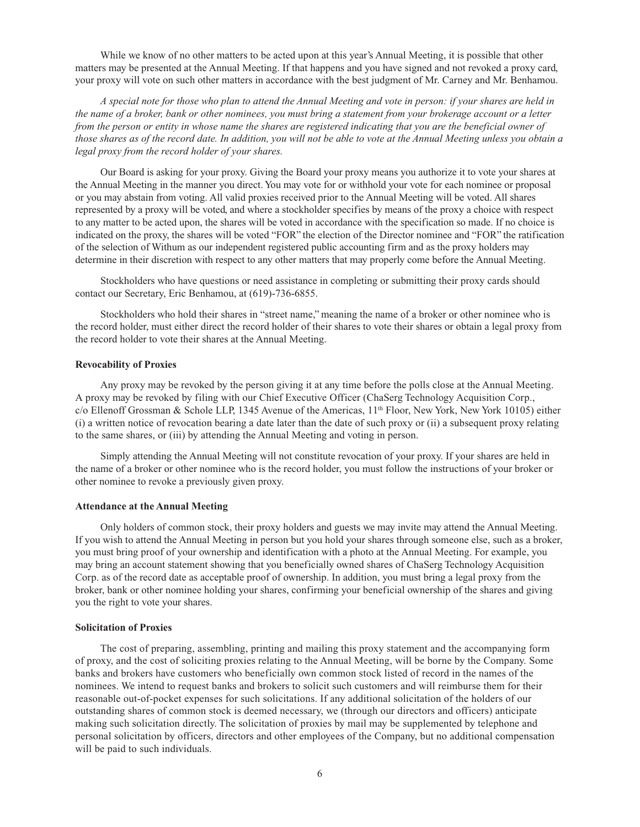While we know of no other matters to be acted upon at this year's Annual Meeting, it is possible that other matters may be presented at the Annual Meeting. If that happens and you have signed and not revoked a proxy card, your proxy will vote on such other matters in accordance with the best judgment of Mr. Carney and Mr. Benhamou.

*A special note for those who plan to attend the Annual Meeting and vote in person: if your shares are held in the name of a broker, bank or other nominees, you must bring a statement from your brokerage account or a letter from the person or entity in whose name the shares are registered indicating that you are the beneficial owner of those shares as of the record date. In addition, you will not be able to vote at the Annual Meeting unless you obtain a legal proxy from the record holder of your shares.*

Our Board is asking for your proxy. Giving the Board your proxy means you authorize it to vote your shares at the Annual Meeting in the manner you direct. You may vote for or withhold your vote for each nominee or proposal or you may abstain from voting. All valid proxies received prior to the Annual Meeting will be voted. All shares represented by a proxy will be voted, and where a stockholder specifies by means of the proxy a choice with respect to any matter to be acted upon, the shares will be voted in accordance with the specification so made. If no choice is indicated on the proxy, the shares will be voted "FOR" the election of the Director nominee and "FOR" the ratification of the selection of Withum as our independent registered public accounting firm and as the proxy holders may determine in their discretion with respect to any other matters that may properly come before the Annual Meeting.

Stockholders who have questions or need assistance in completing or submitting their proxy cards should contact our Secretary, Eric Benhamou, at (619)-736-6855.

Stockholders who hold their shares in "street name," meaning the name of a broker or other nominee who is the record holder, must either direct the record holder of their shares to vote their shares or obtain a legal proxy from the record holder to vote their shares at the Annual Meeting.

### **Revocability of Proxies**

Any proxy may be revoked by the person giving it at any time before the polls close at the Annual Meeting. A proxy may be revoked by filing with our Chief Executive Officer (ChaSerg Technology Acquisition Corp., c/o Ellenoff Grossman & Schole LLP, 1345 Avenue of the Americas, 11th Floor, New York, New York 10105) either (i) a written notice of revocation bearing a date later than the date of such proxy or (ii) a subsequent proxy relating to the same shares, or (iii) by attending the Annual Meeting and voting in person.

Simply attending the Annual Meeting will not constitute revocation of your proxy. If your shares are held in the name of a broker or other nominee who is the record holder, you must follow the instructions of your broker or other nominee to revoke a previously given proxy.

#### **Attendance at the Annual Meeting**

Only holders of common stock, their proxy holders and guests we may invite may attend the Annual Meeting. If you wish to attend the Annual Meeting in person but you hold your shares through someone else, such as a broker, you must bring proof of your ownership and identification with a photo at the Annual Meeting. For example, you may bring an account statement showing that you beneficially owned shares of ChaSerg Technology Acquisition Corp. as of the record date as acceptable proof of ownership. In addition, you must bring a legal proxy from the broker, bank or other nominee holding your shares, confirming your beneficial ownership of the shares and giving you the right to vote your shares.

#### **Solicitation of Proxies**

The cost of preparing, assembling, printing and mailing this proxy statement and the accompanying form of proxy, and the cost of soliciting proxies relating to the Annual Meeting, will be borne by the Company. Some banks and brokers have customers who beneficially own common stock listed of record in the names of the nominees. We intend to request banks and brokers to solicit such customers and will reimburse them for their reasonable out-of-pocket expenses for such solicitations. If any additional solicitation of the holders of our outstanding shares of common stock is deemed necessary, we (through our directors and officers) anticipate making such solicitation directly. The solicitation of proxies by mail may be supplemented by telephone and personal solicitation by officers, directors and other employees of the Company, but no additional compensation will be paid to such individuals.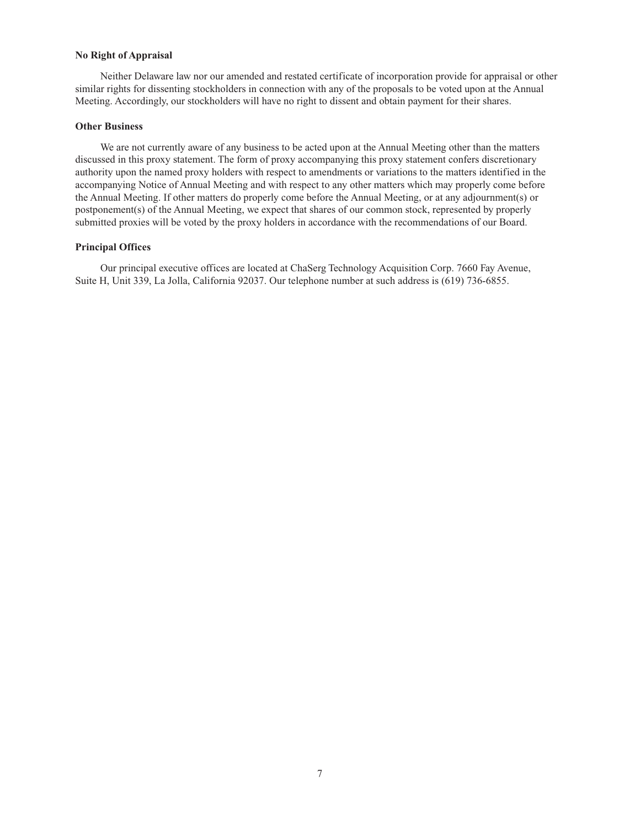## **No Right of Appraisal**

Neither Delaware law nor our amended and restated certificate of incorporation provide for appraisal or other similar rights for dissenting stockholders in connection with any of the proposals to be voted upon at the Annual Meeting. Accordingly, our stockholders will have no right to dissent and obtain payment for their shares.

# **Other Business**

We are not currently aware of any business to be acted upon at the Annual Meeting other than the matters discussed in this proxy statement. The form of proxy accompanying this proxy statement confers discretionary authority upon the named proxy holders with respect to amendments or variations to the matters identified in the accompanying Notice of Annual Meeting and with respect to any other matters which may properly come before the Annual Meeting. If other matters do properly come before the Annual Meeting, or at any adjournment(s) or postponement(s) of the Annual Meeting, we expect that shares of our common stock, represented by properly submitted proxies will be voted by the proxy holders in accordance with the recommendations of our Board.

## **Principal Offices**

Our principal executive offices are located at ChaSerg Technology Acquisition Corp. 7660 Fay Avenue, Suite H, Unit 339, La Jolla, California 92037. Our telephone number at such address is (619) 736-6855.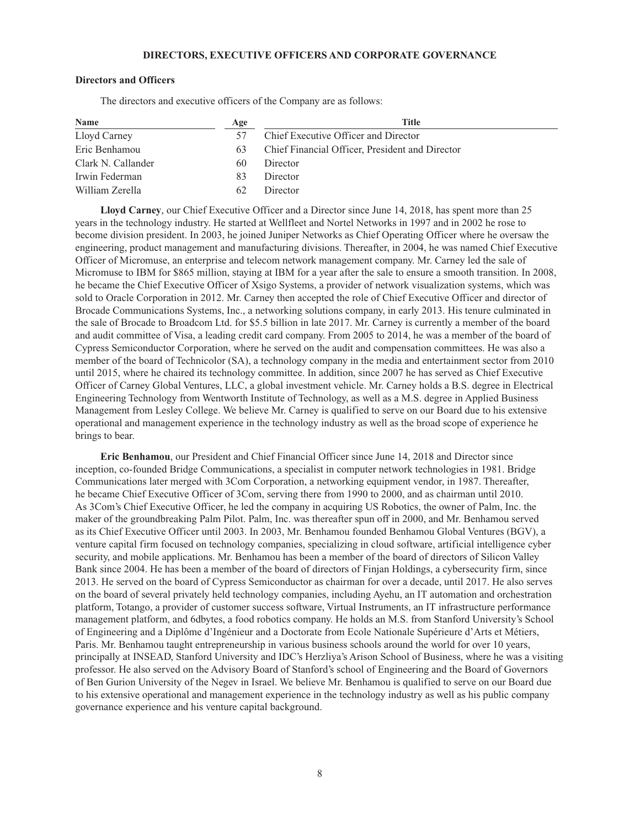## **DIRECTORS, EXECUTIVE OFFICERS AND CORPORATE GOVERNANCE**

# **Directors and Officers**

The directors and executive officers of the Company are as follows:

| Name               | Age | Title                                           |  |  |
|--------------------|-----|-------------------------------------------------|--|--|
| Lloyd Carney       |     | Chief Executive Officer and Director            |  |  |
| Eric Benhamou      | 63  | Chief Financial Officer, President and Director |  |  |
| Clark N. Callander | 60  | Director                                        |  |  |
| Irwin Federman     | 83  | Director                                        |  |  |
| William Zerella    | 62  | Director                                        |  |  |

**Lloyd Carney**, our Chief Executive Officer and a Director since June 14, 2018, has spent more than 25 years in the technology industry. He started at Wellfleet and Nortel Networks in 1997 and in 2002 he rose to become division president. In 2003, he joined Juniper Networks as Chief Operating Officer where he oversaw the engineering, product management and manufacturing divisions. Thereafter, in 2004, he was named Chief Executive Officer of Micromuse, an enterprise and telecom network management company. Mr. Carney led the sale of Micromuse to IBM for \$865 million, staying at IBM for a year after the sale to ensure a smooth transition. In 2008, he became the Chief Executive Officer of Xsigo Systems, a provider of network visualization systems, which was sold to Oracle Corporation in 2012. Mr. Carney then accepted the role of Chief Executive Officer and director of Brocade Communications Systems, Inc., a networking solutions company, in early 2013. His tenure culminated in the sale of Brocade to Broadcom Ltd. for \$5.5 billion in late 2017. Mr. Carney is currently a member of the board and audit committee of Visa, a leading credit card company. From 2005 to 2014, he was a member of the board of Cypress Semiconductor Corporation, where he served on the audit and compensation committees. He was also a member of the board of Technicolor (SA), a technology company in the media and entertainment sector from 2010 until 2015, where he chaired its technology committee. In addition, since 2007 he has served as Chief Executive Officer of Carney Global Ventures, LLC, a global investment vehicle. Mr. Carney holds a B.S. degree in Electrical Engineering Technology from Wentworth Institute of Technology, as well as a M.S. degree in Applied Business Management from Lesley College. We believe Mr. Carney is qualified to serve on our Board due to his extensive operational and management experience in the technology industry as well as the broad scope of experience he brings to bear.

**Eric Benhamou**, our President and Chief Financial Officer since June 14, 2018 and Director since inception, co-founded Bridge Communications, a specialist in computer network technologies in 1981. Bridge Communications later merged with 3Com Corporation, a networking equipment vendor, in 1987. Thereafter, he became Chief Executive Officer of 3Com, serving there from 1990 to 2000, and as chairman until 2010. As 3Com's Chief Executive Officer, he led the company in acquiring US Robotics, the owner of Palm, Inc. the maker of the groundbreaking Palm Pilot. Palm, Inc. was thereafter spun off in 2000, and Mr. Benhamou served as its Chief Executive Officer until 2003. In 2003, Mr. Benhamou founded Benhamou Global Ventures (BGV), a venture capital firm focused on technology companies, specializing in cloud software, artificial intelligence cyber security, and mobile applications. Mr. Benhamou has been a member of the board of directors of Silicon Valley Bank since 2004. He has been a member of the board of directors of Finjan Holdings, a cybersecurity firm, since 2013. He served on the board of Cypress Semiconductor as chairman for over a decade, until 2017. He also serves on the board of several privately held technology companies, including Ayehu, an IT automation and orchestration platform, Totango, a provider of customer success software, Virtual Instruments, an IT infrastructure performance management platform, and 6dbytes, a food robotics company. He holds an M.S. from Stanford University's School of Engineering and a Diplôme d'Ingénieur and a Doctorate from Ecole Nationale Supérieure d'Arts et Métiers, Paris. Mr. Benhamou taught entrepreneurship in various business schools around the world for over 10 years, principally at INSEAD, Stanford University and IDC's Herzliya's Arison School of Business, where he was a visiting professor. He also served on the Advisory Board of Stanford's school of Engineering and the Board of Governors of Ben Gurion University of the Negev in Israel. We believe Mr. Benhamou is qualified to serve on our Board due to his extensive operational and management experience in the technology industry as well as his public company governance experience and his venture capital background.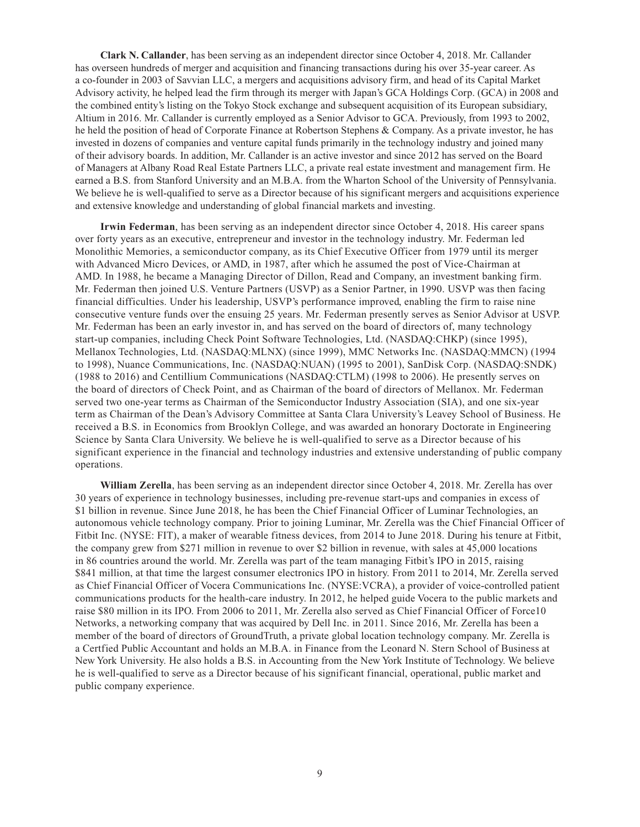**Clark N. Callander**, has been serving as an independent director since October 4, 2018. Mr. Callander has overseen hundreds of merger and acquisition and financing transactions during his over 35-year career. As a co-founder in 2003 of Savvian LLC, a mergers and acquisitions advisory firm, and head of its Capital Market Advisory activity, he helped lead the firm through its merger with Japan's GCA Holdings Corp. (GCA) in 2008 and the combined entity's listing on the Tokyo Stock exchange and subsequent acquisition of its European subsidiary, Altium in 2016. Mr. Callander is currently employed as a Senior Advisor to GCA. Previously, from 1993 to 2002, he held the position of head of Corporate Finance at Robertson Stephens & Company. As a private investor, he has invested in dozens of companies and venture capital funds primarily in the technology industry and joined many of their advisory boards. In addition, Mr. Callander is an active investor and since 2012 has served on the Board of Managers at Albany Road Real Estate Partners LLC, a private real estate investment and management firm. He earned a B.S. from Stanford University and an M.B.A. from the Wharton School of the University of Pennsylvania. We believe he is well-qualified to serve as a Director because of his significant mergers and acquisitions experience and extensive knowledge and understanding of global financial markets and investing.

**Irwin Federman**, has been serving as an independent director since October 4, 2018. His career spans over forty years as an executive, entrepreneur and investor in the technology industry. Mr. Federman led Monolithic Memories, a semiconductor company, as its Chief Executive Officer from 1979 until its merger with Advanced Micro Devices, or AMD, in 1987, after which he assumed the post of Vice-Chairman at AMD. In 1988, he became a Managing Director of Dillon, Read and Company, an investment banking firm. Mr. Federman then joined U.S. Venture Partners (USVP) as a Senior Partner, in 1990. USVP was then facing financial difficulties. Under his leadership, USVP's performance improved, enabling the firm to raise nine consecutive venture funds over the ensuing 25 years. Mr. Federman presently serves as Senior Advisor at USVP. Mr. Federman has been an early investor in, and has served on the board of directors of, many technology start-up companies, including Check Point Software Technologies, Ltd. (NASDAQ:CHKP) (since 1995), Mellanox Technologies, Ltd. (NASDAQ:MLNX) (since 1999), MMC Networks Inc. (NASDAQ:MMCN) (1994 to 1998), Nuance Communications, Inc. (NASDAQ:NUAN) (1995 to 2001), SanDisk Corp. (NASDAQ:SNDK) (1988 to 2016) and Centillium Communications (NASDAQ:CTLM) (1998 to 2006). He presently serves on the board of directors of Check Point, and as Chairman of the board of directors of Mellanox. Mr. Federman served two one-year terms as Chairman of the Semiconductor Industry Association (SIA), and one six-year term as Chairman of the Dean's Advisory Committee at Santa Clara University's Leavey School of Business. He received a B.S. in Economics from Brooklyn College, and was awarded an honorary Doctorate in Engineering Science by Santa Clara University. We believe he is well-qualified to serve as a Director because of his significant experience in the financial and technology industries and extensive understanding of public company operations.

**William Zerella**, has been serving as an independent director since October 4, 2018. Mr. Zerella has over 30 years of experience in technology businesses, including pre-revenue start-ups and companies in excess of \$1 billion in revenue. Since June 2018, he has been the Chief Financial Officer of Luminar Technologies, an autonomous vehicle technology company. Prior to joining Luminar, Mr. Zerella was the Chief Financial Officer of Fitbit Inc. (NYSE: FIT), a maker of wearable fitness devices, from 2014 to June 2018. During his tenure at Fitbit, the company grew from \$271 million in revenue to over \$2 billion in revenue, with sales at 45,000 locations in 86 countries around the world. Mr. Zerella was part of the team managing Fitbit's IPO in 2015, raising \$841 million, at that time the largest consumer electronics IPO in history. From 2011 to 2014, Mr. Zerella served as Chief Financial Officer of Vocera Communications Inc. (NYSE:VCRA), a provider of voice-controlled patient communications products for the health-care industry. In 2012, he helped guide Vocera to the public markets and raise \$80 million in its IPO. From 2006 to 2011, Mr. Zerella also served as Chief Financial Officer of Force10 Networks, a networking company that was acquired by Dell Inc. in 2011. Since 2016, Mr. Zerella has been a member of the board of directors of GroundTruth, a private global location technology company. Mr. Zerella is a Certfied Public Accountant and holds an M.B.A. in Finance from the Leonard N. Stern School of Business at New York University. He also holds a B.S. in Accounting from the New York Institute of Technology. We believe he is well-qualified to serve as a Director because of his significant financial, operational, public market and public company experience.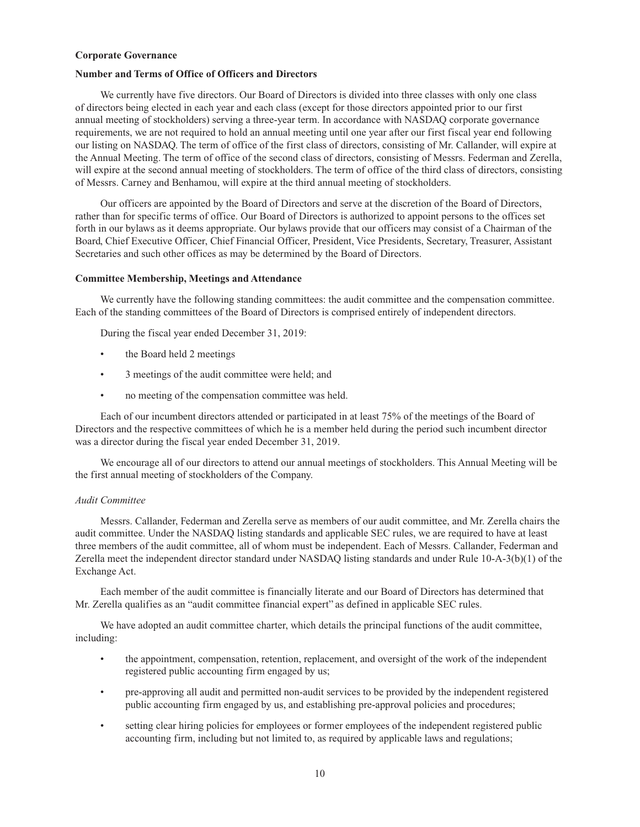### **Corporate Governance**

# **Number and Terms of Office of Officers and Directors**

We currently have five directors. Our Board of Directors is divided into three classes with only one class of directors being elected in each year and each class (except for those directors appointed prior to our first annual meeting of stockholders) serving a three-year term. In accordance with NASDAQ corporate governance requirements, we are not required to hold an annual meeting until one year after our first fiscal year end following our listing on NASDAQ. The term of office of the first class of directors, consisting of Mr. Callander, will expire at the Annual Meeting. The term of office of the second class of directors, consisting of Messrs. Federman and Zerella, will expire at the second annual meeting of stockholders. The term of office of the third class of directors, consisting of Messrs. Carney and Benhamou, will expire at the third annual meeting of stockholders.

Our officers are appointed by the Board of Directors and serve at the discretion of the Board of Directors, rather than for specific terms of office. Our Board of Directors is authorized to appoint persons to the offices set forth in our bylaws as it deems appropriate. Our bylaws provide that our officers may consist of a Chairman of the Board, Chief Executive Officer, Chief Financial Officer, President, Vice Presidents, Secretary, Treasurer, Assistant Secretaries and such other offices as may be determined by the Board of Directors.

## **Committee Membership, Meetings and Attendance**

We currently have the following standing committees: the audit committee and the compensation committee. Each of the standing committees of the Board of Directors is comprised entirely of independent directors.

During the fiscal year ended December 31, 2019:

- the Board held 2 meetings
- 3 meetings of the audit committee were held; and
- no meeting of the compensation committee was held.

Each of our incumbent directors attended or participated in at least 75% of the meetings of the Board of Directors and the respective committees of which he is a member held during the period such incumbent director was a director during the fiscal year ended December 31, 2019.

We encourage all of our directors to attend our annual meetings of stockholders. This Annual Meeting will be the first annual meeting of stockholders of the Company.

# *Audit Committee*

Messrs. Callander, Federman and Zerella serve as members of our audit committee, and Mr. Zerella chairs the audit committee. Under the NASDAQ listing standards and applicable SEC rules, we are required to have at least three members of the audit committee, all of whom must be independent. Each of Messrs. Callander, Federman and Zerella meet the independent director standard under NASDAQ listing standards and under Rule 10-A-3(b)(1) of the Exchange Act.

Each member of the audit committee is financially literate and our Board of Directors has determined that Mr. Zerella qualifies as an "audit committee financial expert" as defined in applicable SEC rules.

We have adopted an audit committee charter, which details the principal functions of the audit committee, including:

- the appointment, compensation, retention, replacement, and oversight of the work of the independent registered public accounting firm engaged by us;
- pre-approving all audit and permitted non-audit services to be provided by the independent registered public accounting firm engaged by us, and establishing pre-approval policies and procedures;
- setting clear hiring policies for employees or former employees of the independent registered public accounting firm, including but not limited to, as required by applicable laws and regulations;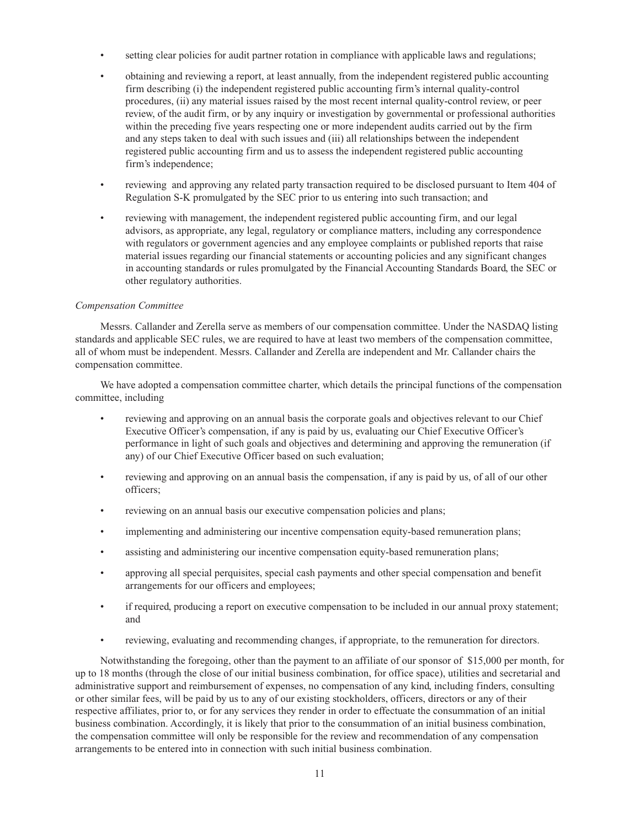- setting clear policies for audit partner rotation in compliance with applicable laws and regulations;
- obtaining and reviewing a report, at least annually, from the independent registered public accounting firm describing (i) the independent registered public accounting firm's internal quality-control procedures, (ii) any material issues raised by the most recent internal quality-control review, or peer review, of the audit firm, or by any inquiry or investigation by governmental or professional authorities within the preceding five years respecting one or more independent audits carried out by the firm and any steps taken to deal with such issues and (iii) all relationships between the independent registered public accounting firm and us to assess the independent registered public accounting firm's independence;
- reviewing and approving any related party transaction required to be disclosed pursuant to Item 404 of Regulation S-K promulgated by the SEC prior to us entering into such transaction; and
- reviewing with management, the independent registered public accounting firm, and our legal advisors, as appropriate, any legal, regulatory or compliance matters, including any correspondence with regulators or government agencies and any employee complaints or published reports that raise material issues regarding our financial statements or accounting policies and any significant changes in accounting standards or rules promulgated by the Financial Accounting Standards Board, the SEC or other regulatory authorities.

## *Compensation Committee*

Messrs. Callander and Zerella serve as members of our compensation committee. Under the NASDAQ listing standards and applicable SEC rules, we are required to have at least two members of the compensation committee, all of whom must be independent. Messrs. Callander and Zerella are independent and Mr. Callander chairs the compensation committee.

We have adopted a compensation committee charter, which details the principal functions of the compensation committee, including

- reviewing and approving on an annual basis the corporate goals and objectives relevant to our Chief Executive Officer's compensation, if any is paid by us, evaluating our Chief Executive Officer's performance in light of such goals and objectives and determining and approving the remuneration (if any) of our Chief Executive Officer based on such evaluation;
- reviewing and approving on an annual basis the compensation, if any is paid by us, of all of our other officers;
- reviewing on an annual basis our executive compensation policies and plans;
- implementing and administering our incentive compensation equity-based remuneration plans;
- assisting and administering our incentive compensation equity-based remuneration plans;
- approving all special perquisites, special cash payments and other special compensation and benefit arrangements for our officers and employees;
- if required, producing a report on executive compensation to be included in our annual proxy statement; and
- reviewing, evaluating and recommending changes, if appropriate, to the remuneration for directors.

Notwithstanding the foregoing, other than the payment to an affiliate of our sponsor of \$15,000 per month, for up to 18 months (through the close of our initial business combination, for office space), utilities and secretarial and administrative support and reimbursement of expenses, no compensation of any kind, including finders, consulting or other similar fees, will be paid by us to any of our existing stockholders, officers, directors or any of their respective affiliates, prior to, or for any services they render in order to effectuate the consummation of an initial business combination. Accordingly, it is likely that prior to the consummation of an initial business combination, the compensation committee will only be responsible for the review and recommendation of any compensation arrangements to be entered into in connection with such initial business combination.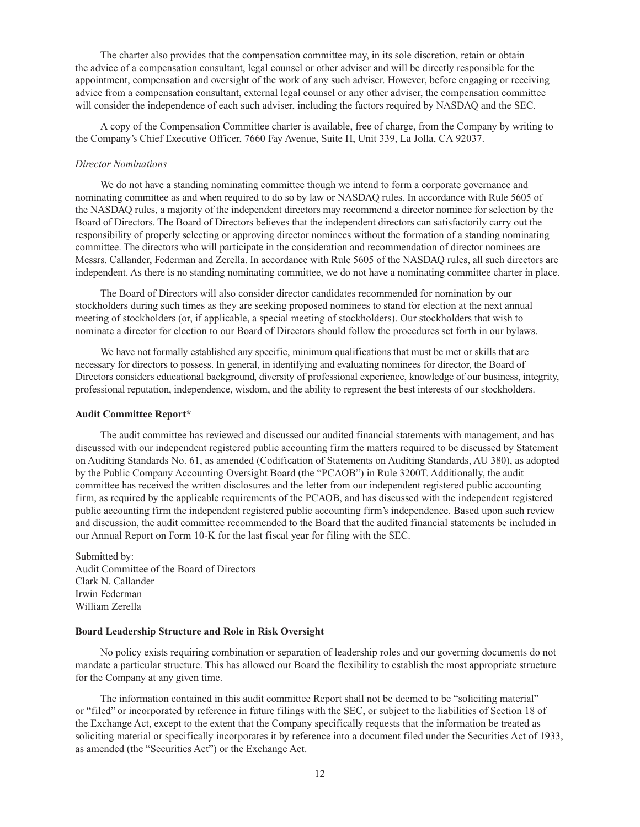The charter also provides that the compensation committee may, in its sole discretion, retain or obtain the advice of a compensation consultant, legal counsel or other adviser and will be directly responsible for the appointment, compensation and oversight of the work of any such adviser. However, before engaging or receiving advice from a compensation consultant, external legal counsel or any other adviser, the compensation committee will consider the independence of each such adviser, including the factors required by NASDAQ and the SEC.

A copy of the Compensation Committee charter is available, free of charge, from the Company by writing to the Company's Chief Executive Officer, 7660 Fay Avenue, Suite H, Unit 339, La Jolla, CA 92037.

#### *Director Nominations*

We do not have a standing nominating committee though we intend to form a corporate governance and nominating committee as and when required to do so by law or NASDAQ rules. In accordance with Rule 5605 of the NASDAQ rules, a majority of the independent directors may recommend a director nominee for selection by the Board of Directors. The Board of Directors believes that the independent directors can satisfactorily carry out the responsibility of properly selecting or approving director nominees without the formation of a standing nominating committee. The directors who will participate in the consideration and recommendation of director nominees are Messrs. Callander, Federman and Zerella. In accordance with Rule 5605 of the NASDAQ rules, all such directors are independent. As there is no standing nominating committee, we do not have a nominating committee charter in place.

The Board of Directors will also consider director candidates recommended for nomination by our stockholders during such times as they are seeking proposed nominees to stand for election at the next annual meeting of stockholders (or, if applicable, a special meeting of stockholders). Our stockholders that wish to nominate a director for election to our Board of Directors should follow the procedures set forth in our bylaws.

We have not formally established any specific, minimum qualifications that must be met or skills that are necessary for directors to possess. In general, in identifying and evaluating nominees for director, the Board of Directors considers educational background, diversity of professional experience, knowledge of our business, integrity, professional reputation, independence, wisdom, and the ability to represent the best interests of our stockholders.

#### **Audit Committee Report\***

The audit committee has reviewed and discussed our audited financial statements with management, and has discussed with our independent registered public accounting firm the matters required to be discussed by Statement on Auditing Standards No. 61, as amended (Codification of Statements on Auditing Standards, AU 380), as adopted by the Public Company Accounting Oversight Board (the "PCAOB") in Rule 3200T. Additionally, the audit committee has received the written disclosures and the letter from our independent registered public accounting firm, as required by the applicable requirements of the PCAOB, and has discussed with the independent registered public accounting firm the independent registered public accounting firm's independence. Based upon such review and discussion, the audit committee recommended to the Board that the audited financial statements be included in our Annual Report on Form 10-K for the last fiscal year for filing with the SEC.

Submitted by: Audit Committee of the Board of Directors Clark N. Callander Irwin Federman William Zerella

## **Board Leadership Structure and Role in Risk Oversight**

No policy exists requiring combination or separation of leadership roles and our governing documents do not mandate a particular structure. This has allowed our Board the flexibility to establish the most appropriate structure for the Company at any given time.

The information contained in this audit committee Report shall not be deemed to be "soliciting material" or "filed" or incorporated by reference in future filings with the SEC, or subject to the liabilities of Section 18 of the Exchange Act, except to the extent that the Company specifically requests that the information be treated as soliciting material or specifically incorporates it by reference into a document filed under the Securities Act of 1933, as amended (the "Securities Act") or the Exchange Act.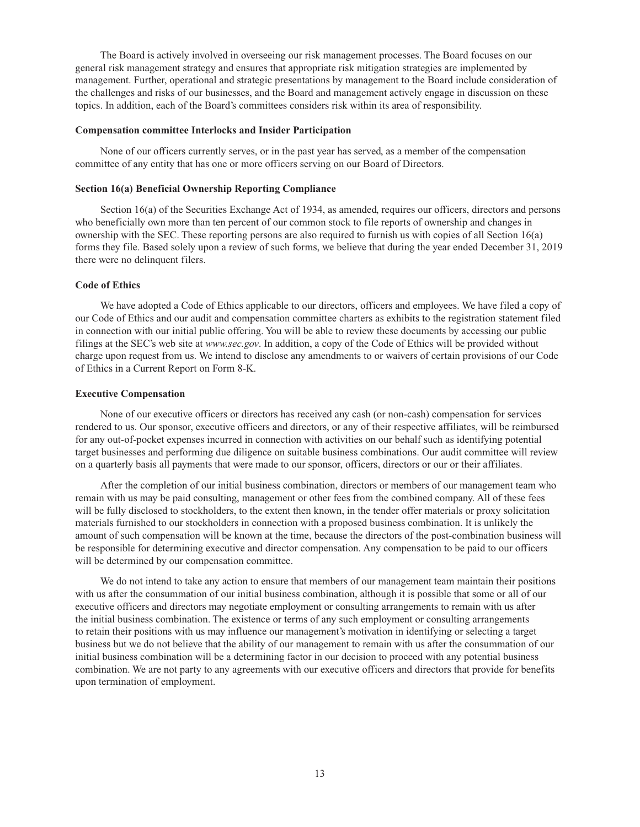The Board is actively involved in overseeing our risk management processes. The Board focuses on our general risk management strategy and ensures that appropriate risk mitigation strategies are implemented by management. Further, operational and strategic presentations by management to the Board include consideration of the challenges and risks of our businesses, and the Board and management actively engage in discussion on these topics. In addition, each of the Board's committees considers risk within its area of responsibility.

### **Compensation committee Interlocks and Insider Participation**

None of our officers currently serves, or in the past year has served, as a member of the compensation committee of any entity that has one or more officers serving on our Board of Directors.

# **Section 16(a) Beneficial Ownership Reporting Compliance**

Section 16(a) of the Securities Exchange Act of 1934, as amended, requires our officers, directors and persons who beneficially own more than ten percent of our common stock to file reports of ownership and changes in ownership with the SEC. These reporting persons are also required to furnish us with copies of all Section 16(a) forms they file. Based solely upon a review of such forms, we believe that during the year ended December 31, 2019 there were no delinquent filers.

## **Code of Ethics**

We have adopted a Code of Ethics applicable to our directors, officers and employees. We have filed a copy of our Code of Ethics and our audit and compensation committee charters as exhibits to the registration statement filed in connection with our initial public offering. You will be able to review these documents by accessing our public filings at the SEC's web site at *www.sec.gov*. In addition, a copy of the Code of Ethics will be provided without charge upon request from us. We intend to disclose any amendments to or waivers of certain provisions of our Code of Ethics in a Current Report on Form 8-K.

### **Executive Compensation**

None of our executive officers or directors has received any cash (or non-cash) compensation for services rendered to us. Our sponsor, executive officers and directors, or any of their respective affiliates, will be reimbursed for any out-of-pocket expenses incurred in connection with activities on our behalf such as identifying potential target businesses and performing due diligence on suitable business combinations. Our audit committee will review on a quarterly basis all payments that were made to our sponsor, officers, directors or our or their affiliates.

After the completion of our initial business combination, directors or members of our management team who remain with us may be paid consulting, management or other fees from the combined company. All of these fees will be fully disclosed to stockholders, to the extent then known, in the tender offer materials or proxy solicitation materials furnished to our stockholders in connection with a proposed business combination. It is unlikely the amount of such compensation will be known at the time, because the directors of the post-combination business will be responsible for determining executive and director compensation. Any compensation to be paid to our officers will be determined by our compensation committee.

We do not intend to take any action to ensure that members of our management team maintain their positions with us after the consummation of our initial business combination, although it is possible that some or all of our executive officers and directors may negotiate employment or consulting arrangements to remain with us after the initial business combination. The existence or terms of any such employment or consulting arrangements to retain their positions with us may influence our management's motivation in identifying or selecting a target business but we do not believe that the ability of our management to remain with us after the consummation of our initial business combination will be a determining factor in our decision to proceed with any potential business combination. We are not party to any agreements with our executive officers and directors that provide for benefits upon termination of employment.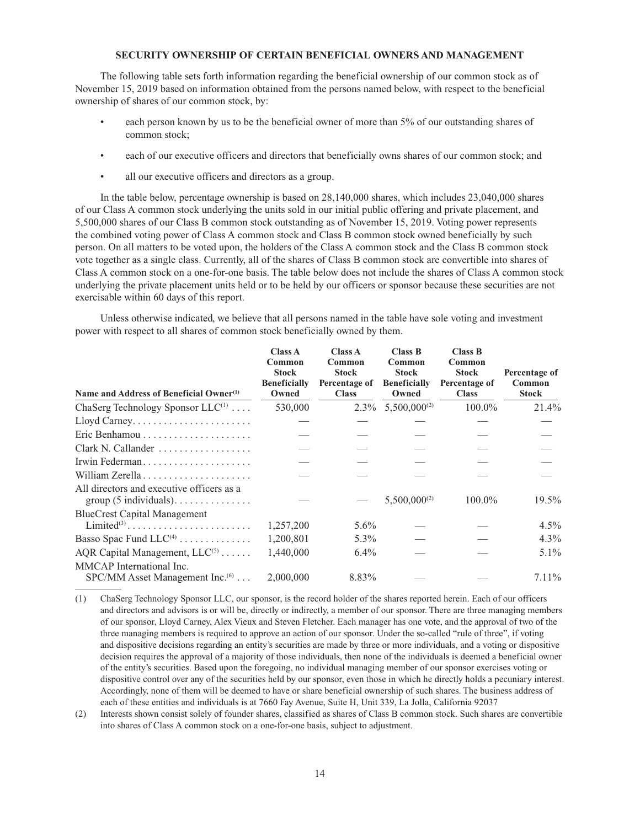## **SECURITY OWNERSHIP OF CERTAIN BENEFICIAL OWNERS AND MANAGEMENT**

The following table sets forth information regarding the beneficial ownership of our common stock as of November 15, 2019 based on information obtained from the persons named below, with respect to the beneficial ownership of shares of our common stock, by:

- each person known by us to be the beneficial owner of more than 5% of our outstanding shares of common stock;
- each of our executive officers and directors that beneficially owns shares of our common stock; and
- all our executive officers and directors as a group.

In the table below, percentage ownership is based on 28,140,000 shares, which includes 23,040,000 shares of our Class A common stock underlying the units sold in our initial public offering and private placement, and 5,500,000 shares of our Class B common stock outstanding as of November 15, 2019. Voting power represents the combined voting power of Class A common stock and Class B common stock owned beneficially by such person. On all matters to be voted upon, the holders of the Class A common stock and the Class B common stock vote together as a single class. Currently, all of the shares of Class B common stock are convertible into shares of Class A common stock on a one-for-one basis. The table below does not include the shares of Class A common stock underlying the private placement units held or to be held by our officers or sponsor because these securities are not exercisable within 60 days of this report.

Unless otherwise indicated, we believe that all persons named in the table have sole voting and investment power with respect to all shares of common stock beneficially owned by them.

| Name and Address of Beneficial Owner <sup>(1)</sup>                                    | <b>Class A</b><br>Common<br><b>Stock</b><br><b>Beneficially</b><br>Owned | Class A<br>Common<br><b>Stock</b><br>Percentage of<br><b>Class</b> | <b>Class B</b><br>Common<br><b>Stock</b><br><b>Beneficially</b><br>Owned | Class B<br>Common<br><b>Stock</b><br>Percentage of<br><b>Class</b> | Percentage of<br>Common<br><b>Stock</b> |
|----------------------------------------------------------------------------------------|--------------------------------------------------------------------------|--------------------------------------------------------------------|--------------------------------------------------------------------------|--------------------------------------------------------------------|-----------------------------------------|
| ChaSerg Technology Sponsor $LLC^{(1)}$                                                 | 530,000                                                                  |                                                                    | $2.3\%$ 5,500,000 <sup>(2)</sup>                                         | $100.0\%$                                                          | 21.4%                                   |
|                                                                                        |                                                                          |                                                                    |                                                                          |                                                                    |                                         |
| Eric Benhamou                                                                          |                                                                          |                                                                    |                                                                          |                                                                    |                                         |
| Clark N. Callander                                                                     |                                                                          |                                                                    |                                                                          |                                                                    |                                         |
| Irwin Federman                                                                         |                                                                          |                                                                    |                                                                          |                                                                    |                                         |
|                                                                                        |                                                                          |                                                                    |                                                                          |                                                                    |                                         |
| All directors and executive officers as a                                              |                                                                          |                                                                    | $5,500,000^{(2)}$                                                        | $100.0\%$                                                          | $19.5\%$                                |
| <b>BlueCrest Capital Management</b>                                                    |                                                                          |                                                                    |                                                                          |                                                                    |                                         |
| Limited <sup>(3)</sup>                                                                 | 1,257,200                                                                | $5.6\%$                                                            |                                                                          |                                                                    | $4.5\%$                                 |
| Basso Spac Fund $LLC^{(4)}$                                                            | 1,200,801                                                                | $5.3\%$                                                            |                                                                          |                                                                    | $4.3\%$                                 |
| AQR Capital Management, $LLC^{(5)}$                                                    | 1,440,000                                                                | $6.4\%$                                                            |                                                                          |                                                                    | $5.1\%$                                 |
| MMCAP International Inc.<br>$SPC/MM$ Asset Management Inc. <sup><math>(6)</math></sup> | 2,000,000                                                                | 8.83%                                                              |                                                                          |                                                                    | $7.11\%$                                |

(1) ChaSerg Technology Sponsor LLC, our sponsor, is the record holder of the shares reported herein. Each of our officers and directors and advisors is or will be, directly or indirectly, a member of our sponsor. There are three managing members of our sponsor, Lloyd Carney, Alex Vieux and Steven Fletcher. Each manager has one vote, and the approval of two of the three managing members is required to approve an action of our sponsor. Under the so-called "rule of three", if voting and dispositive decisions regarding an entity's securities are made by three or more individuals, and a voting or dispositive decision requires the approval of a majority of those individuals, then none of the individuals is deemed a beneficial owner of the entity's securities. Based upon the foregoing, no individual managing member of our sponsor exercises voting or dispositive control over any of the securities held by our sponsor, even those in which he directly holds a pecuniary interest. Accordingly, none of them will be deemed to have or share beneficial ownership of such shares. The business address of each of these entities and individuals is at 7660 Fay Avenue, Suite H, Unit 339, La Jolla, California 92037

(2) Interests shown consist solely of founder shares, classified as shares of Class B common stock. Such shares are convertible into shares of Class A common stock on a one-for-one basis, subject to adjustment.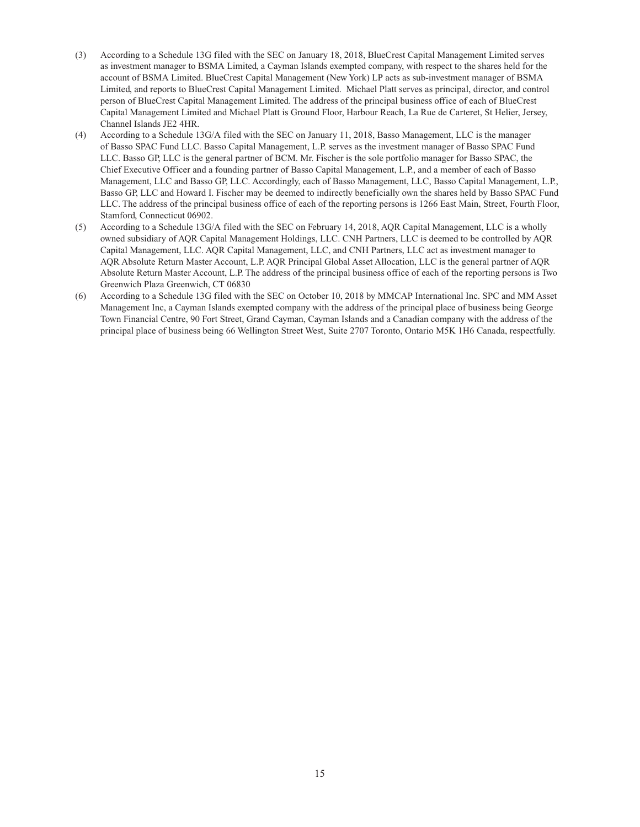- (3) According to a Schedule 13G filed with the SEC on January 18, 2018, BlueCrest Capital Management Limited serves as investment manager to BSMA Limited, a Cayman Islands exempted company, with respect to the shares held for the account of BSMA Limited. BlueCrest Capital Management (New York) LP acts as sub-investment manager of BSMA Limited, and reports to BlueCrest Capital Management Limited. Michael Platt serves as principal, director, and control person of BlueCrest Capital Management Limited. The address of the principal business office of each of BlueCrest Capital Management Limited and Michael Platt is Ground Floor, Harbour Reach, La Rue de Carteret, St Helier, Jersey, Channel Islands JE2 4HR.
- (4) According to a Schedule 13G/A filed with the SEC on January 11, 2018, Basso Management, LLC is the manager of Basso SPAC Fund LLC. Basso Capital Management, L.P. serves as the investment manager of Basso SPAC Fund LLC. Basso GP, LLC is the general partner of BCM. Mr. Fischer is the sole portfolio manager for Basso SPAC, the Chief Executive Officer and a founding partner of Basso Capital Management, L.P., and a member of each of Basso Management, LLC and Basso GP, LLC. Accordingly, each of Basso Management, LLC, Basso Capital Management, L.P., Basso GP, LLC and Howard I. Fischer may be deemed to indirectly beneficially own the shares held by Basso SPAC Fund LLC. The address of the principal business office of each of the reporting persons is 1266 East Main, Street, Fourth Floor, Stamford, Connecticut 06902.
- (5) According to a Schedule 13G/A filed with the SEC on February 14, 2018, AQR Capital Management, LLC is a wholly owned subsidiary of AQR Capital Management Holdings, LLC. CNH Partners, LLC is deemed to be controlled by AQR Capital Management, LLC. AQR Capital Management, LLC, and CNH Partners, LLC act as investment manager to AQR Absolute Return Master Account, L.P. AQR Principal Global Asset Allocation, LLC is the general partner of AQR Absolute Return Master Account, L.P. The address of the principal business office of each of the reporting persons is Two Greenwich Plaza Greenwich, CT 06830
- (6) According to a Schedule 13G filed with the SEC on October 10, 2018 by MMCAP International Inc. SPC and MM Asset Management Inc, a Cayman Islands exempted company with the address of the principal place of business being George Town Financial Centre, 90 Fort Street, Grand Cayman, Cayman Islands and a Canadian company with the address of the principal place of business being 66 Wellington Street West, Suite 2707 Toronto, Ontario M5K 1H6 Canada, respectfully.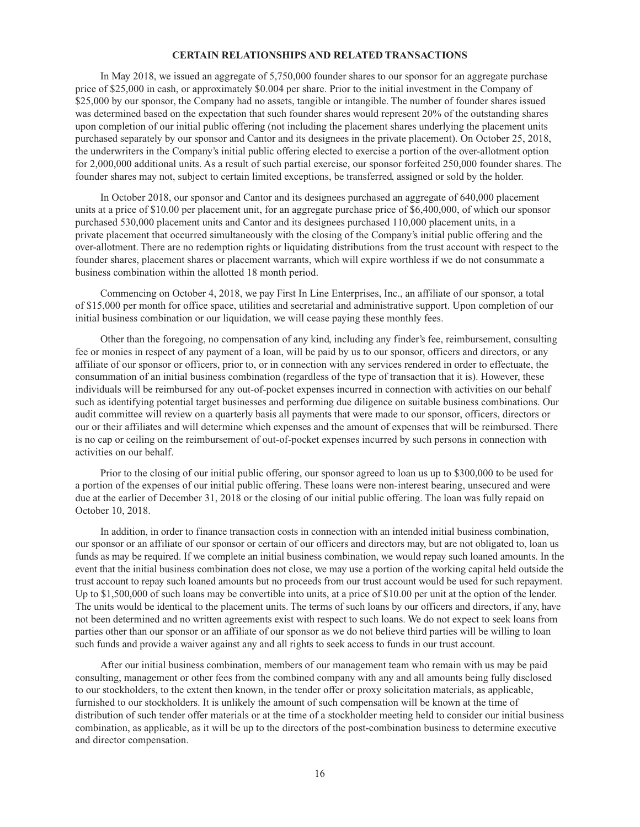## **CERTAIN RELATIONSHIPS AND RELATED TRANSACTIONS**

In May 2018, we issued an aggregate of 5,750,000 founder shares to our sponsor for an aggregate purchase price of \$25,000 in cash, or approximately \$0.004 per share. Prior to the initial investment in the Company of \$25,000 by our sponsor, the Company had no assets, tangible or intangible. The number of founder shares issued was determined based on the expectation that such founder shares would represent 20% of the outstanding shares upon completion of our initial public offering (not including the placement shares underlying the placement units purchased separately by our sponsor and Cantor and its designees in the private placement). On October 25, 2018, the underwriters in the Company's initial public offering elected to exercise a portion of the over-allotment option for 2,000,000 additional units. As a result of such partial exercise, our sponsor forfeited 250,000 founder shares. The founder shares may not, subject to certain limited exceptions, be transferred, assigned or sold by the holder.

In October 2018, our sponsor and Cantor and its designees purchased an aggregate of 640,000 placement units at a price of \$10.00 per placement unit, for an aggregate purchase price of \$6,400,000, of which our sponsor purchased 530,000 placement units and Cantor and its designees purchased 110,000 placement units, in a private placement that occurred simultaneously with the closing of the Company's initial public offering and the over-allotment. There are no redemption rights or liquidating distributions from the trust account with respect to the founder shares, placement shares or placement warrants, which will expire worthless if we do not consummate a business combination within the allotted 18 month period.

Commencing on October 4, 2018, we pay First In Line Enterprises, Inc., an affiliate of our sponsor, a total of \$15,000 per month for office space, utilities and secretarial and administrative support. Upon completion of our initial business combination or our liquidation, we will cease paying these monthly fees.

Other than the foregoing, no compensation of any kind, including any finder's fee, reimbursement, consulting fee or monies in respect of any payment of a loan, will be paid by us to our sponsor, officers and directors, or any affiliate of our sponsor or officers, prior to, or in connection with any services rendered in order to effectuate, the consummation of an initial business combination (regardless of the type of transaction that it is). However, these individuals will be reimbursed for any out-of-pocket expenses incurred in connection with activities on our behalf such as identifying potential target businesses and performing due diligence on suitable business combinations. Our audit committee will review on a quarterly basis all payments that were made to our sponsor, officers, directors or our or their affiliates and will determine which expenses and the amount of expenses that will be reimbursed. There is no cap or ceiling on the reimbursement of out-of-pocket expenses incurred by such persons in connection with activities on our behalf.

Prior to the closing of our initial public offering, our sponsor agreed to loan us up to \$300,000 to be used for a portion of the expenses of our initial public offering. These loans were non-interest bearing, unsecured and were due at the earlier of December 31, 2018 or the closing of our initial public offering. The loan was fully repaid on October 10, 2018.

In addition, in order to finance transaction costs in connection with an intended initial business combination, our sponsor or an affiliate of our sponsor or certain of our officers and directors may, but are not obligated to, loan us funds as may be required. If we complete an initial business combination, we would repay such loaned amounts. In the event that the initial business combination does not close, we may use a portion of the working capital held outside the trust account to repay such loaned amounts but no proceeds from our trust account would be used for such repayment. Up to \$1,500,000 of such loans may be convertible into units, at a price of \$10.00 per unit at the option of the lender. The units would be identical to the placement units. The terms of such loans by our officers and directors, if any, have not been determined and no written agreements exist with respect to such loans. We do not expect to seek loans from parties other than our sponsor or an affiliate of our sponsor as we do not believe third parties will be willing to loan such funds and provide a waiver against any and all rights to seek access to funds in our trust account.

After our initial business combination, members of our management team who remain with us may be paid consulting, management or other fees from the combined company with any and all amounts being fully disclosed to our stockholders, to the extent then known, in the tender offer or proxy solicitation materials, as applicable, furnished to our stockholders. It is unlikely the amount of such compensation will be known at the time of distribution of such tender offer materials or at the time of a stockholder meeting held to consider our initial business combination, as applicable, as it will be up to the directors of the post-combination business to determine executive and director compensation.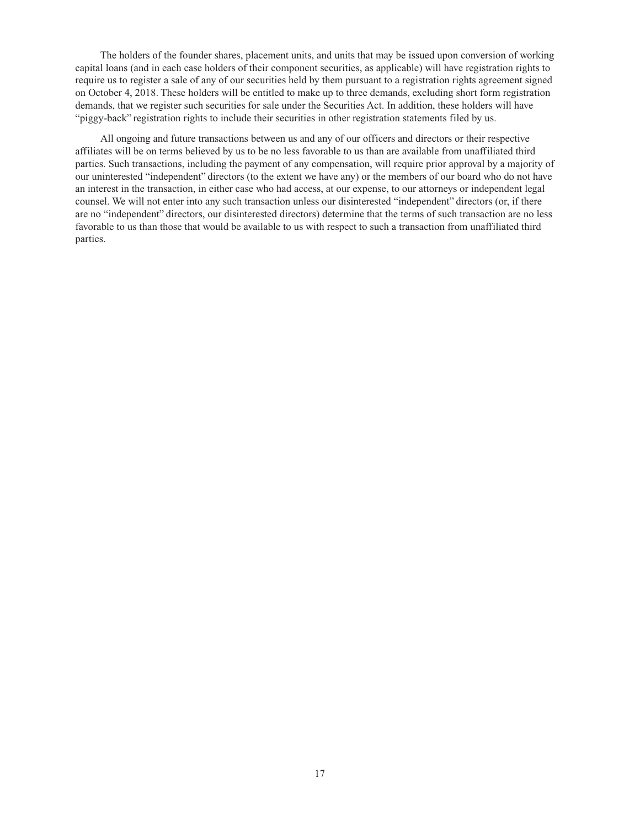The holders of the founder shares, placement units, and units that may be issued upon conversion of working capital loans (and in each case holders of their component securities, as applicable) will have registration rights to require us to register a sale of any of our securities held by them pursuant to a registration rights agreement signed on October 4, 2018. These holders will be entitled to make up to three demands, excluding short form registration demands, that we register such securities for sale under the Securities Act. In addition, these holders will have "piggy-back" registration rights to include their securities in other registration statements filed by us.

All ongoing and future transactions between us and any of our officers and directors or their respective affiliates will be on terms believed by us to be no less favorable to us than are available from unaffiliated third parties. Such transactions, including the payment of any compensation, will require prior approval by a majority of our uninterested "independent" directors (to the extent we have any) or the members of our board who do not have an interest in the transaction, in either case who had access, at our expense, to our attorneys or independent legal counsel. We will not enter into any such transaction unless our disinterested "independent" directors (or, if there are no "independent" directors, our disinterested directors) determine that the terms of such transaction are no less favorable to us than those that would be available to us with respect to such a transaction from unaffiliated third parties.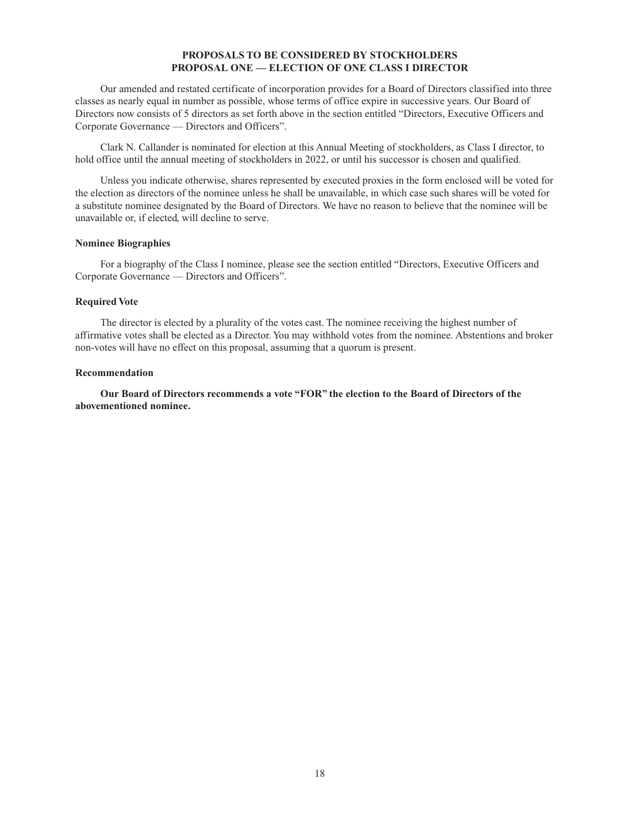# **PROPOSALS TO BE CONSIDERED BY STOCKHOLDERS PROPOSAL ONE — ELECTION OF ONE CLASS I DIRECTOR**

Our amended and restated certificate of incorporation provides for a Board of Directors classified into three classes as nearly equal in number as possible, whose terms of office expire in successive years. Our Board of Directors now consists of 5 directors as set forth above in the section entitled "Directors, Executive Officers and Corporate Governance — Directors and Officers".

Clark N. Callander is nominated for election at this Annual Meeting of stockholders, as Class I director, to hold office until the annual meeting of stockholders in 2022, or until his successor is chosen and qualified.

Unless you indicate otherwise, shares represented by executed proxies in the form enclosed will be voted for the election as directors of the nominee unless he shall be unavailable, in which case such shares will be voted for a substitute nominee designated by the Board of Directors. We have no reason to believe that the nominee will be unavailable or, if elected, will decline to serve.

## **Nominee Biographies**

For a biography of the Class I nominee, please see the section entitled "Directors, Executive Officers and Corporate Governance — Directors and Officers".

## **Required Vote**

The director is elected by a plurality of the votes cast. The nominee receiving the highest number of affirmative votes shall be elected as a Director. You may withhold votes from the nominee. Abstentions and broker non-votes will have no effect on this proposal, assuming that a quorum is present.

## **Recommendation**

**Our Board of Directors recommends a vote "FOR" the election to the Board of Directors of the abovementioned nominee.**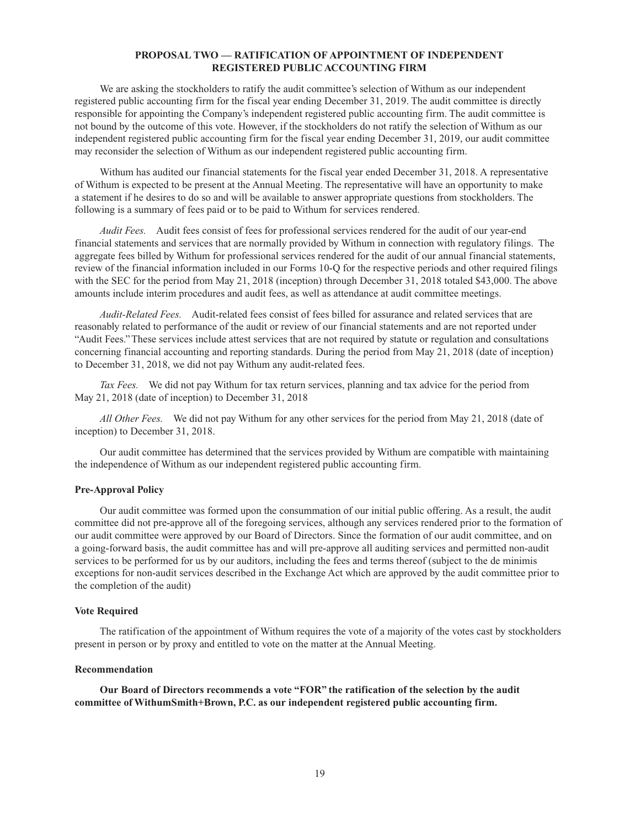# **PROPOSAL TWO — RATIFICATION OF APPOINTMENT OF INDEPENDENT REGISTERED PUBLIC ACCOUNTING FIRM**

We are asking the stockholders to ratify the audit committee's selection of Withum as our independent registered public accounting firm for the fiscal year ending December 31, 2019. The audit committee is directly responsible for appointing the Company's independent registered public accounting firm. The audit committee is not bound by the outcome of this vote. However, if the stockholders do not ratify the selection of Withum as our independent registered public accounting firm for the fiscal year ending December 31, 2019, our audit committee may reconsider the selection of Withum as our independent registered public accounting firm.

Withum has audited our financial statements for the fiscal year ended December 31, 2018. A representative of Withum is expected to be present at the Annual Meeting. The representative will have an opportunity to make a statement if he desires to do so and will be available to answer appropriate questions from stockholders. The following is a summary of fees paid or to be paid to Withum for services rendered.

*Audit Fees.* Audit fees consist of fees for professional services rendered for the audit of our year-end financial statements and services that are normally provided by Withum in connection with regulatory filings. The aggregate fees billed by Withum for professional services rendered for the audit of our annual financial statements, review of the financial information included in our Forms 10-Q for the respective periods and other required filings with the SEC for the period from May 21, 2018 (inception) through December 31, 2018 totaled \$43,000. The above amounts include interim procedures and audit fees, as well as attendance at audit committee meetings.

*Audit-Related Fees.* Audit-related fees consist of fees billed for assurance and related services that are reasonably related to performance of the audit or review of our financial statements and are not reported under "Audit Fees." These services include attest services that are not required by statute or regulation and consultations concerning financial accounting and reporting standards. During the period from May 21, 2018 (date of inception) to December 31, 2018, we did not pay Withum any audit-related fees.

*Tax Fees.* We did not pay Withum for tax return services, planning and tax advice for the period from May 21, 2018 (date of inception) to December 31, 2018

*All Other Fees.* We did not pay Withum for any other services for the period from May 21, 2018 (date of inception) to December 31, 2018.

Our audit committee has determined that the services provided by Withum are compatible with maintaining the independence of Withum as our independent registered public accounting firm.

#### **Pre-Approval Policy**

Our audit committee was formed upon the consummation of our initial public offering. As a result, the audit committee did not pre-approve all of the foregoing services, although any services rendered prior to the formation of our audit committee were approved by our Board of Directors. Since the formation of our audit committee, and on a going-forward basis, the audit committee has and will pre-approve all auditing services and permitted non-audit services to be performed for us by our auditors, including the fees and terms thereof (subject to the de minimis exceptions for non-audit services described in the Exchange Act which are approved by the audit committee prior to the completion of the audit)

#### **Vote Required**

The ratification of the appointment of Withum requires the vote of a majority of the votes cast by stockholders present in person or by proxy and entitled to vote on the matter at the Annual Meeting.

### **Recommendation**

**Our Board of Directors recommends a vote "FOR" the ratification of the selection by the audit committee of WithumSmith+Brown, P.C. as our independent registered public accounting firm.**